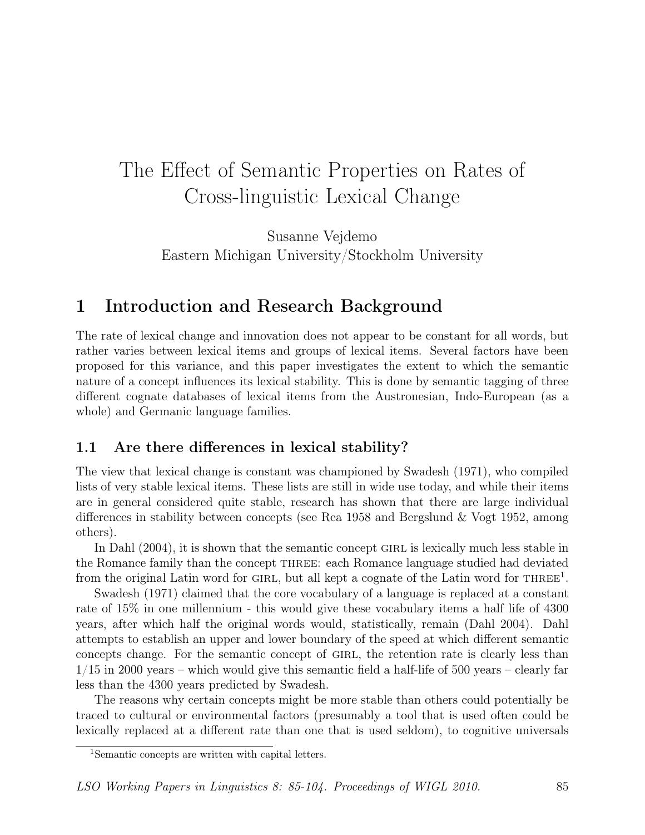# The Effect of Semantic Properties on Rates of Cross-linguistic Lexical Change

Susanne Vejdemo Eastern Michigan University/Stockholm University

# 1 Introduction and Research Background

The rate of lexical change and innovation does not appear to be constant for all words, but rather varies between lexical items and groups of lexical items. Several factors have been proposed for this variance, and this paper investigates the extent to which the semantic nature of a concept influences its lexical stability. This is done by semantic tagging of three different cognate databases of lexical items from the Austronesian, Indo-European (as a whole) and Germanic language families.

### 1.1 Are there differences in lexical stability?

The view that lexical change is constant was championed by Swadesh (1971), who compiled lists of very stable lexical items. These lists are still in wide use today, and while their items are in general considered quite stable, research has shown that there are large individual differences in stability between concepts (see Rea 1958 and Bergslund & Vogt 1952, among others).

In Dahl (2004), it is shown that the semantic concept GIRL is lexically much less stable in the Romance family than the concept three: each Romance language studied had deviated from the original Latin word for GIRL, but all kept a cognate of the Latin word for  $THREE<sup>1</sup>$ .

Swadesh (1971) claimed that the core vocabulary of a language is replaced at a constant rate of 15% in one millennium - this would give these vocabulary items a half life of 4300 years, after which half the original words would, statistically, remain (Dahl 2004). Dahl attempts to establish an upper and lower boundary of the speed at which different semantic concepts change. For the semantic concept of GIRL, the retention rate is clearly less than 1/15 in 2000 years – which would give this semantic field a half-life of 500 years – clearly far less than the 4300 years predicted by Swadesh.

The reasons why certain concepts might be more stable than others could potentially be traced to cultural or environmental factors (presumably a tool that is used often could be lexically replaced at a different rate than one that is used seldom), to cognitive universals

<sup>1</sup>Semantic concepts are written with capital letters.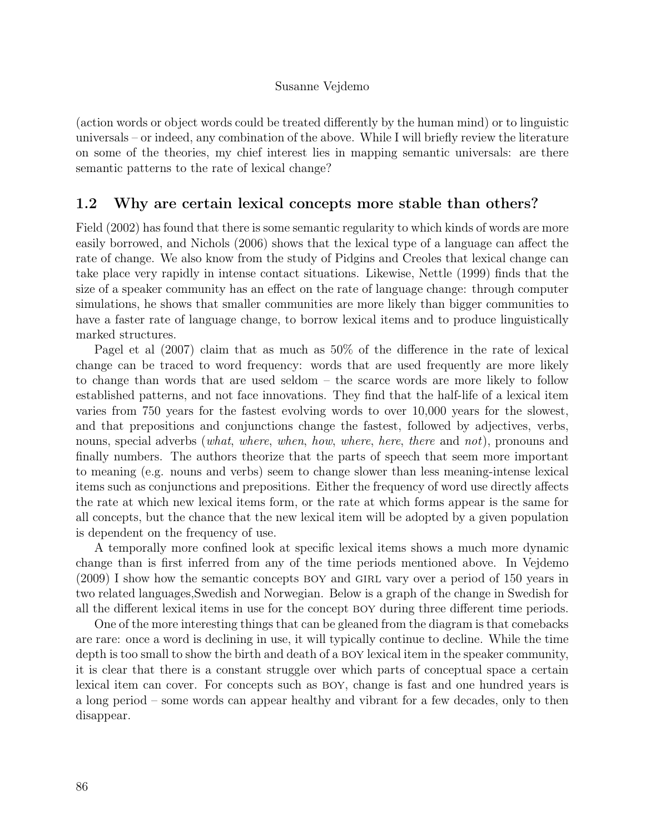(action words or object words could be treated differently by the human mind) or to linguistic universals – or indeed, any combination of the above. While I will briefly review the literature on some of the theories, my chief interest lies in mapping semantic universals: are there semantic patterns to the rate of lexical change?

### 1.2 Why are certain lexical concepts more stable than others?

Field (2002) has found that there is some semantic regularity to which kinds of words are more easily borrowed, and Nichols (2006) shows that the lexical type of a language can affect the rate of change. We also know from the study of Pidgins and Creoles that lexical change can take place very rapidly in intense contact situations. Likewise, Nettle (1999) finds that the size of a speaker community has an effect on the rate of language change: through computer simulations, he shows that smaller communities are more likely than bigger communities to have a faster rate of language change, to borrow lexical items and to produce linguistically marked structures.

Pagel et al (2007) claim that as much as 50% of the difference in the rate of lexical change can be traced to word frequency: words that are used frequently are more likely to change than words that are used seldom – the scarce words are more likely to follow established patterns, and not face innovations. They find that the half-life of a lexical item varies from 750 years for the fastest evolving words to over 10,000 years for the slowest, and that prepositions and conjunctions change the fastest, followed by adjectives, verbs, nouns, special adverbs (what, where, when, how, where, here, there and not), pronouns and finally numbers. The authors theorize that the parts of speech that seem more important to meaning (e.g. nouns and verbs) seem to change slower than less meaning-intense lexical items such as conjunctions and prepositions. Either the frequency of word use directly affects the rate at which new lexical items form, or the rate at which forms appear is the same for all concepts, but the chance that the new lexical item will be adopted by a given population is dependent on the frequency of use.

A temporally more confined look at specific lexical items shows a much more dynamic change than is first inferred from any of the time periods mentioned above. In Vejdemo (2009) I show how the semantic concepts boy and girl vary over a period of 150 years in two related languages,Swedish and Norwegian. Below is a graph of the change in Swedish for all the different lexical items in use for the concept boy during three different time periods.

One of the more interesting things that can be gleaned from the diagram is that comebacks are rare: once a word is declining in use, it will typically continue to decline. While the time depth is too small to show the birth and death of a BOY lexical item in the speaker community, it is clear that there is a constant struggle over which parts of conceptual space a certain lexical item can cover. For concepts such as boy, change is fast and one hundred years is a long period – some words can appear healthy and vibrant for a few decades, only to then disappear.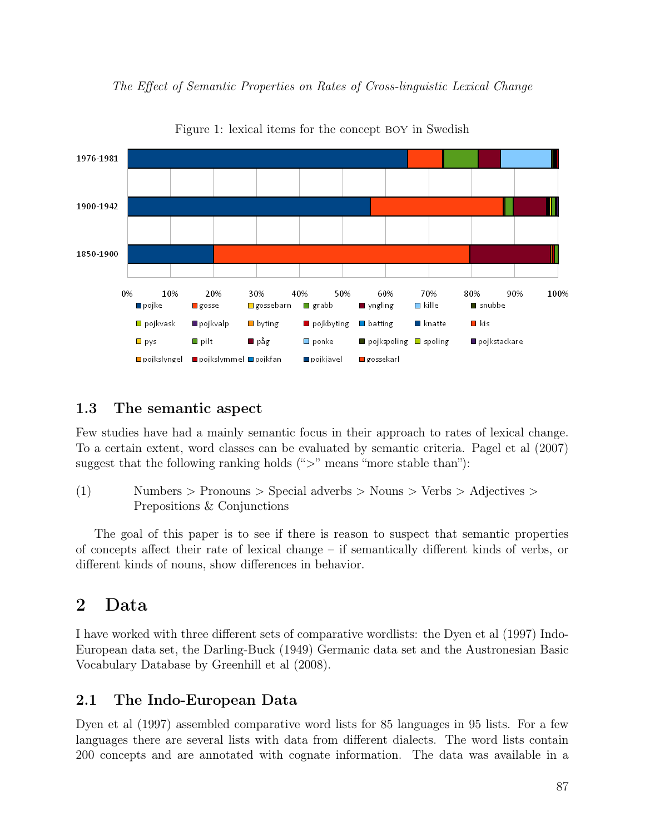

The Effect of Semantic Properties on Rates of Cross-linguistic Lexical Change

# Figure 1: lexical items for the concept boy in Swedish

## 1.3 The semantic aspect

Few studies have had a mainly semantic focus in their approach to rates of lexical change. To a certain extent, word classes can be evaluated by semantic criteria. Pagel et al (2007) suggest that the following ranking holds  $(">$ " means "more stable than"):

(1) Numbers > Pronouns > Special adverbs > Nouns > Verbs > Adjectives > Prepositions & Conjunctions

The goal of this paper is to see if there is reason to suspect that semantic properties of concepts affect their rate of lexical change – if semantically different kinds of verbs, or different kinds of nouns, show differences in behavior.

# 2 Data

I have worked with three different sets of comparative wordlists: the Dyen et al (1997) Indo-European data set, the Darling-Buck (1949) Germanic data set and the Austronesian Basic Vocabulary Database by Greenhill et al (2008).

# 2.1 The Indo-European Data

Dyen et al (1997) assembled comparative word lists for 85 languages in 95 lists. For a few languages there are several lists with data from different dialects. The word lists contain 200 concepts and are annotated with cognate information. The data was available in a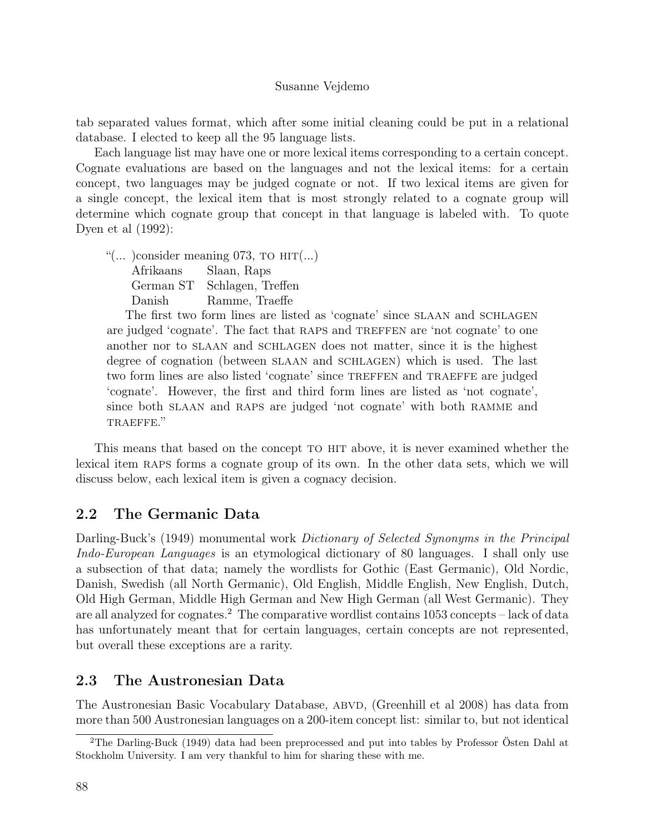tab separated values format, which after some initial cleaning could be put in a relational database. I elected to keep all the 95 language lists.

Each language list may have one or more lexical items corresponding to a certain concept. Cognate evaluations are based on the languages and not the lexical items: for a certain concept, two languages may be judged cognate or not. If two lexical items are given for a single concept, the lexical item that is most strongly related to a cognate group will determine which cognate group that concept in that language is labeled with. To quote Dyen et al (1992):

"(... ) consider meaning  $073$ , TO  $\text{HIT}$ (...) Afrikaans Slaan, Raps German ST Schlagen, Treffen Danish Ramme, Traeffe

The first two form lines are listed as 'cognate' since slaan and schlagen are judged 'cognate'. The fact that raps and treffen are 'not cognate' to one another nor to slaan and schlagen does not matter, since it is the highest degree of cognation (between SLAAN and SCHLAGEN) which is used. The last two form lines are also listed 'cognate' since treffen and traeffe are judged 'cognate'. However, the first and third form lines are listed as 'not cognate', since both SLAAN and RAPS are judged 'not cognate' with both RAMME and TRAEFFE."

This means that based on the concept to hit above, it is never examined whether the lexical item raps forms a cognate group of its own. In the other data sets, which we will discuss below, each lexical item is given a cognacy decision.

### 2.2 The Germanic Data

Darling-Buck's (1949) monumental work *Dictionary of Selected Synonyms in the Principal* Indo-European Languages is an etymological dictionary of 80 languages. I shall only use a subsection of that data; namely the wordlists for Gothic (East Germanic), Old Nordic, Danish, Swedish (all North Germanic), Old English, Middle English, New English, Dutch, Old High German, Middle High German and New High German (all West Germanic). They are all analyzed for cognates.<sup>2</sup> The comparative wordlist contains  $1053$  concepts – lack of data has unfortunately meant that for certain languages, certain concepts are not represented, but overall these exceptions are a rarity.

### 2.3 The Austronesian Data

The Austronesian Basic Vocabulary Database, ABVD, (Greenhill et al 2008) has data from more than 500 Austronesian languages on a 200-item concept list: similar to, but not identical

<sup>2</sup>The Darling-Buck (1949) data had been preprocessed and put into tables by Professor Östen Dahl at Stockholm University. I am very thankful to him for sharing these with me.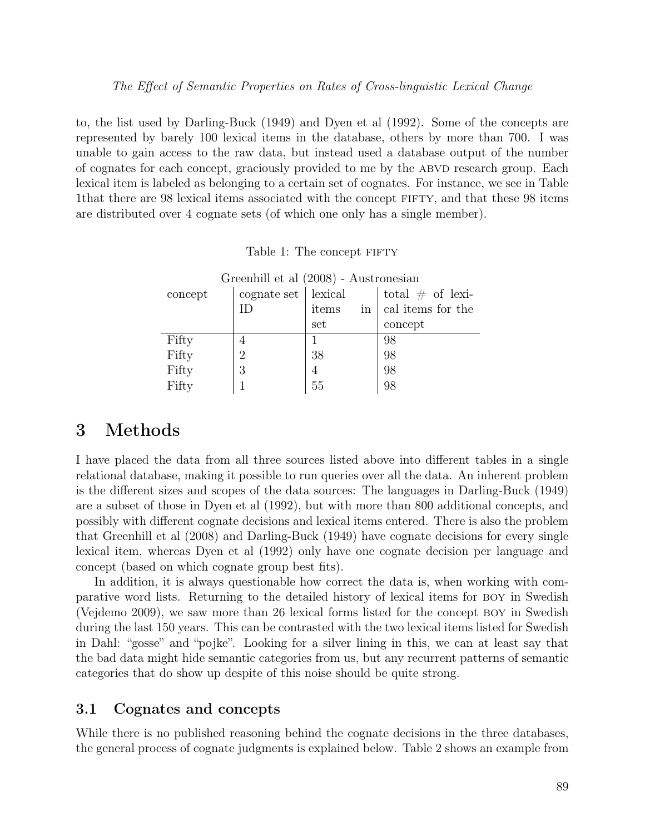to, the list used by Darling-Buck (1949) and Dyen et al (1992). Some of the concepts are represented by barely 100 lexical items in the database, others by more than 700. I was unable to gain access to the raw data, but instead used a database output of the number of cognates for each concept, graciously provided to me by the ABVD research group. Each lexical item is labeled as belonging to a certain set of cognates. For instance, we see in Table 1that there are 98 lexical items associated with the concept fifty, and that these 98 items are distributed over 4 cognate sets (of which one only has a single member).

| Greenhill et al (2008) - Austronesian |                       |       |                                                        |  |  |  |
|---------------------------------------|-----------------------|-------|--------------------------------------------------------|--|--|--|
| concept                               | cognate set   lexical |       | total $\#$ of lexi-                                    |  |  |  |
|                                       |                       | items | $\left  \right $ in $\left  \right $ cal items for the |  |  |  |
|                                       |                       | set   | concept                                                |  |  |  |
| Fifty                                 |                       |       | 98                                                     |  |  |  |
| Fifty                                 | $\overline{2}$        | 38    | 98                                                     |  |  |  |
| Fifty                                 | 3                     |       | 98                                                     |  |  |  |
| Fifty                                 |                       | 55    | 98                                                     |  |  |  |

| Table 1: The concept FIFTY |  |  |  |
|----------------------------|--|--|--|
|----------------------------|--|--|--|

# 3 Methods

I have placed the data from all three sources listed above into different tables in a single relational database, making it possible to run queries over all the data. An inherent problem is the different sizes and scopes of the data sources: The languages in Darling-Buck (1949) are a subset of those in Dyen et al (1992), but with more than 800 additional concepts, and possibly with different cognate decisions and lexical items entered. There is also the problem that Greenhill et al (2008) and Darling-Buck (1949) have cognate decisions for every single lexical item, whereas Dyen et al (1992) only have one cognate decision per language and concept (based on which cognate group best fits).

In addition, it is always questionable how correct the data is, when working with comparative word lists. Returning to the detailed history of lexical items for boy in Swedish (Vejdemo 2009), we saw more than 26 lexical forms listed for the concept boy in Swedish during the last 150 years. This can be contrasted with the two lexical items listed for Swedish in Dahl: "gosse" and "pojke". Looking for a silver lining in this, we can at least say that the bad data might hide semantic categories from us, but any recurrent patterns of semantic categories that do show up despite of this noise should be quite strong.

### 3.1 Cognates and concepts

While there is no published reasoning behind the cognate decisions in the three databases, the general process of cognate judgments is explained below. Table 2 shows an example from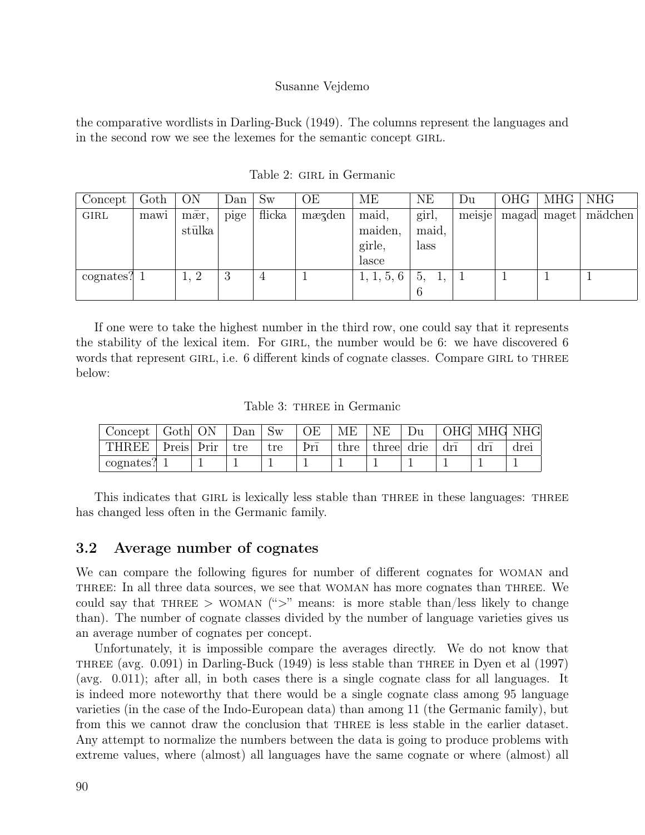the comparative wordlists in Darling-Buck (1949). The columns represent the languages and in the second row we see the lexemes for the semantic concept GIRL.

| Concept   | Goth | ON                         | Dan  | Sw             | OE     | ME         | NE           | Du     | <b>OHG</b> | MHG   | <b>NHG</b> |
|-----------|------|----------------------------|------|----------------|--------|------------|--------------|--------|------------|-------|------------|
| GIRL      | mawi | mær,                       | pige | flicka         | mæzden | maid,      | girl,        | meisje | magad      | maget | mädchen    |
|           |      | stūlka                     |      |                |        | maiden,    | maid,        |        |            |       |            |
|           |      |                            |      |                |        | girle,     | lass         |        |            |       |            |
|           |      |                            |      |                |        | lasce      |              |        |            |       |            |
| cognates? |      | $\overline{2}$<br><b>L</b> | 3    | $\overline{4}$ |        | 1, 1, 5, 6 | $\partial$ . |        |            |       |            |
|           |      |                            |      |                |        |            | n            |        |            |       |            |

Table 2: GIRL in Germanic

If one were to take the highest number in the third row, one could say that it represents the stability of the lexical item. For GIRL, the number would be 6: we have discovered 6 words that represent GIRL, i.e. 6 different kinds of cognate classes. Compare GIRL to THREE below:

Table 3: THREE in Germanic

| Concept   | Goth ON     | Dan   Sw |     | ОE                    | MЕ   | NE         | Du | OHG MHG NHG |             |      |
|-----------|-------------|----------|-----|-----------------------|------|------------|----|-------------|-------------|------|
| THREE     | Þreis  Þrir | ' tre    | tre | $\rm{Pr}\bar{\rm{i}}$ | thre | three drie |    | drī         | $dr\bar{1}$ | drei |
| cognates? |             |          |     |                       |      |            |    |             |             |      |

This indicates that GIRL is lexically less stable than THREE in these languages: THREE has changed less often in the Germanic family.

### 3.2 Average number of cognates

We can compare the following figures for number of different cognates for woman and three: In all three data sources, we see that woman has more cognates than three. We could say that THREE > WOMAN  $(\lq\lq$ <sup>"</sup> means: is more stable than/less likely to change than). The number of cognate classes divided by the number of language varieties gives us an average number of cognates per concept.

Unfortunately, it is impossible compare the averages directly. We do not know that three (avg. 0.091) in Darling-Buck (1949) is less stable than three in Dyen et al (1997) (avg. 0.011); after all, in both cases there is a single cognate class for all languages. It is indeed more noteworthy that there would be a single cognate class among 95 language varieties (in the case of the Indo-European data) than among 11 (the Germanic family), but from this we cannot draw the conclusion that THREE is less stable in the earlier dataset. Any attempt to normalize the numbers between the data is going to produce problems with extreme values, where (almost) all languages have the same cognate or where (almost) all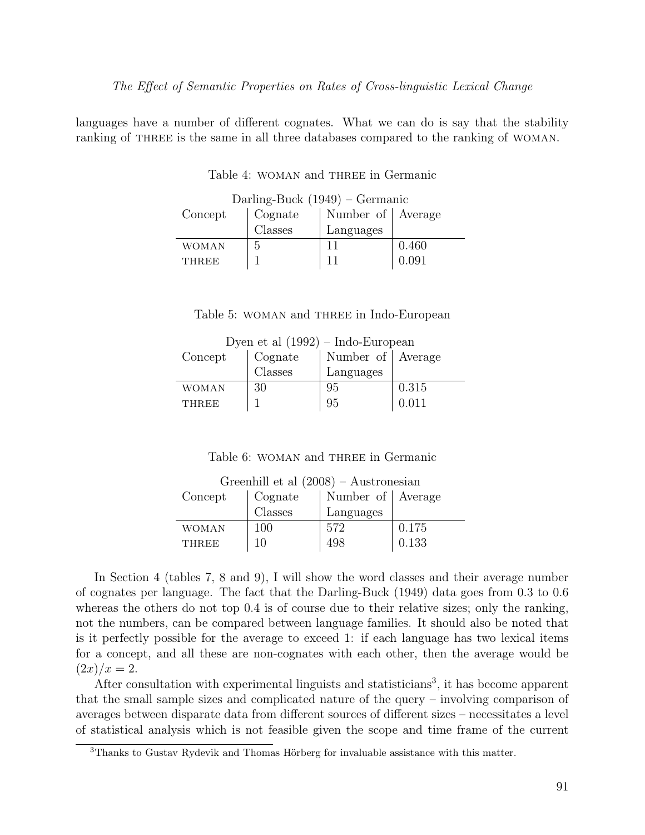languages have a number of different cognates. What we can do is say that the stability ranking of THREE is the same in all three databases compared to the ranking of WOMAN.

| Darling-Buck $(1949)$ – Germanic |         |                   |       |  |  |  |
|----------------------------------|---------|-------------------|-------|--|--|--|
| Concept                          | Cognate | Number of Average |       |  |  |  |
|                                  | Classes | Languages         |       |  |  |  |
| WOMAN                            | .,      | 11                | 0.460 |  |  |  |
| <b>THREE</b>                     |         |                   | 0.091 |  |  |  |

Table 4: WOMAN and THREE in Germanic

#### Table 5: woman and three in Indo-European

| Dyen et al $(1992)$ – Indo-European |                             |                   |       |  |  |  |
|-------------------------------------|-----------------------------|-------------------|-------|--|--|--|
| Concept                             | Cognate                     | Number of Average |       |  |  |  |
|                                     | $\overline{\text{Classes}}$ | Languages         |       |  |  |  |
| WOMAN                               | 30                          | 95                | 0.315 |  |  |  |
| <b>THREE</b>                        |                             | 95                | 0.011 |  |  |  |

Table 6: WOMAN and THREE in Germanic

| Greenhill et al $(2008)$ – Austronesian |                             |                   |       |  |  |  |
|-----------------------------------------|-----------------------------|-------------------|-------|--|--|--|
| Concept                                 | Cognate                     | Number of Average |       |  |  |  |
|                                         | $\overline{\text{Classes}}$ | Languages         |       |  |  |  |
| <b>WOMAN</b>                            | 100                         | 572               | 0.175 |  |  |  |
| <b>THREE</b>                            | 10                          | 498               | 0.133 |  |  |  |

In Section 4 (tables 7, 8 and 9), I will show the word classes and their average number of cognates per language. The fact that the Darling-Buck (1949) data goes from 0.3 to 0.6 whereas the others do not top 0.4 is of course due to their relative sizes; only the ranking, not the numbers, can be compared between language families. It should also be noted that is it perfectly possible for the average to exceed 1: if each language has two lexical items for a concept, and all these are non-cognates with each other, then the average would be  $(2x)/x = 2.$ 

After consultation with experimental linguists and statisticians<sup>3</sup>, it has become apparent that the small sample sizes and complicated nature of the query – involving comparison of averages between disparate data from different sources of different sizes – necessitates a level of statistical analysis which is not feasible given the scope and time frame of the current

<sup>3</sup>Thanks to Gustav Rydevik and Thomas Hörberg for invaluable assistance with this matter.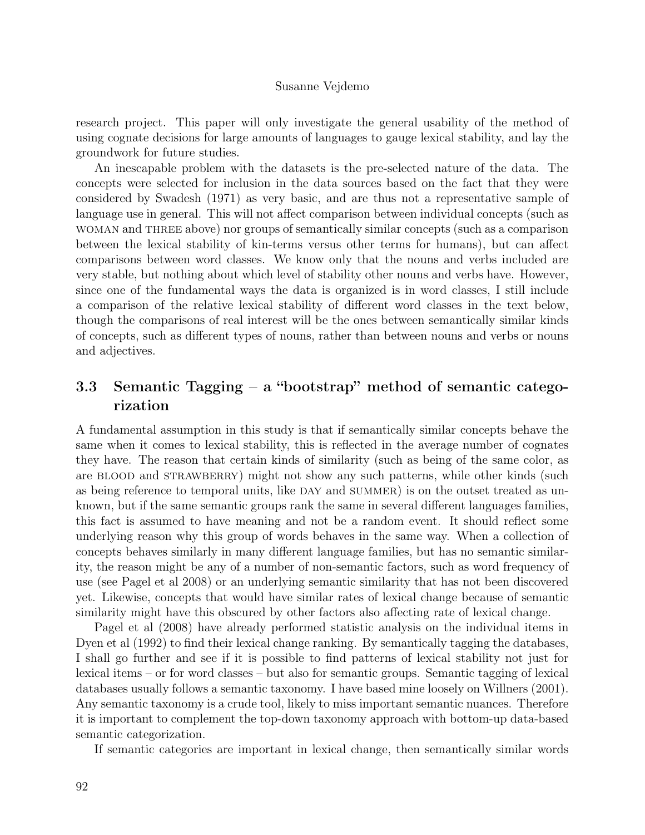research project. This paper will only investigate the general usability of the method of using cognate decisions for large amounts of languages to gauge lexical stability, and lay the groundwork for future studies.

An inescapable problem with the datasets is the pre-selected nature of the data. The concepts were selected for inclusion in the data sources based on the fact that they were considered by Swadesh (1971) as very basic, and are thus not a representative sample of language use in general. This will not affect comparison between individual concepts (such as woman and three above) nor groups of semantically similar concepts (such as a comparison between the lexical stability of kin-terms versus other terms for humans), but can affect comparisons between word classes. We know only that the nouns and verbs included are very stable, but nothing about which level of stability other nouns and verbs have. However, since one of the fundamental ways the data is organized is in word classes, I still include a comparison of the relative lexical stability of different word classes in the text below, though the comparisons of real interest will be the ones between semantically similar kinds of concepts, such as different types of nouns, rather than between nouns and verbs or nouns and adjectives.

# 3.3 Semantic Tagging – a "bootstrap" method of semantic categorization

A fundamental assumption in this study is that if semantically similar concepts behave the same when it comes to lexical stability, this is reflected in the average number of cognates they have. The reason that certain kinds of similarity (such as being of the same color, as are BLOOD and STRAWBERRY) might not show any such patterns, while other kinds (such as being reference to temporal units, like DAY and SUMMER) is on the outset treated as unknown, but if the same semantic groups rank the same in several different languages families, this fact is assumed to have meaning and not be a random event. It should reflect some underlying reason why this group of words behaves in the same way. When a collection of concepts behaves similarly in many different language families, but has no semantic similarity, the reason might be any of a number of non-semantic factors, such as word frequency of use (see Pagel et al 2008) or an underlying semantic similarity that has not been discovered yet. Likewise, concepts that would have similar rates of lexical change because of semantic similarity might have this obscured by other factors also affecting rate of lexical change.

Pagel et al (2008) have already performed statistic analysis on the individual items in Dyen et al (1992) to find their lexical change ranking. By semantically tagging the databases, I shall go further and see if it is possible to find patterns of lexical stability not just for lexical items – or for word classes – but also for semantic groups. Semantic tagging of lexical databases usually follows a semantic taxonomy. I have based mine loosely on Willners (2001). Any semantic taxonomy is a crude tool, likely to miss important semantic nuances. Therefore it is important to complement the top-down taxonomy approach with bottom-up data-based semantic categorization.

If semantic categories are important in lexical change, then semantically similar words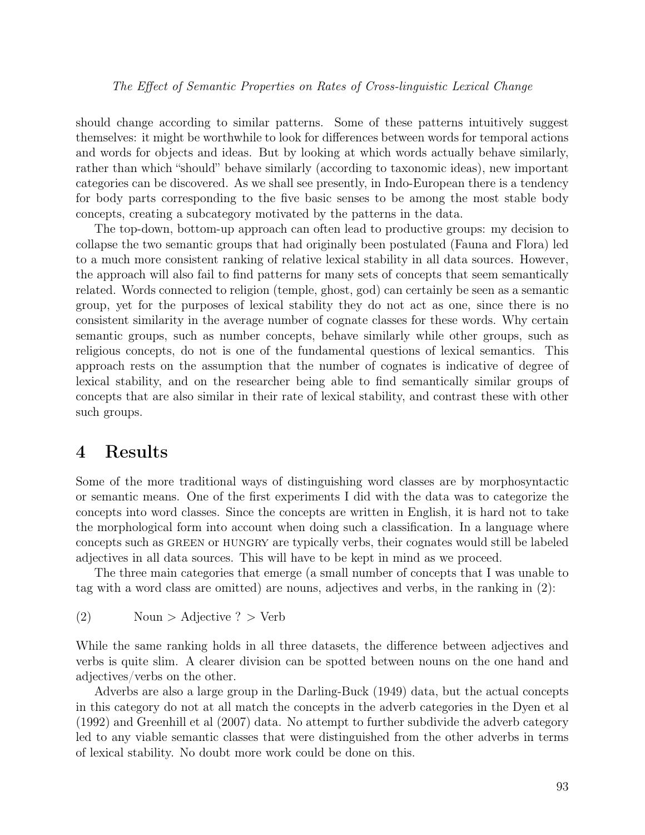should change according to similar patterns. Some of these patterns intuitively suggest themselves: it might be worthwhile to look for differences between words for temporal actions and words for objects and ideas. But by looking at which words actually behave similarly, rather than which "should" behave similarly (according to taxonomic ideas), new important categories can be discovered. As we shall see presently, in Indo-European there is a tendency for body parts corresponding to the five basic senses to be among the most stable body concepts, creating a subcategory motivated by the patterns in the data.

The top-down, bottom-up approach can often lead to productive groups: my decision to collapse the two semantic groups that had originally been postulated (Fauna and Flora) led to a much more consistent ranking of relative lexical stability in all data sources. However, the approach will also fail to find patterns for many sets of concepts that seem semantically related. Words connected to religion (temple, ghost, god) can certainly be seen as a semantic group, yet for the purposes of lexical stability they do not act as one, since there is no consistent similarity in the average number of cognate classes for these words. Why certain semantic groups, such as number concepts, behave similarly while other groups, such as religious concepts, do not is one of the fundamental questions of lexical semantics. This approach rests on the assumption that the number of cognates is indicative of degree of lexical stability, and on the researcher being able to find semantically similar groups of concepts that are also similar in their rate of lexical stability, and contrast these with other such groups.

# 4 Results

Some of the more traditional ways of distinguishing word classes are by morphosyntactic or semantic means. One of the first experiments I did with the data was to categorize the concepts into word classes. Since the concepts are written in English, it is hard not to take the morphological form into account when doing such a classification. In a language where concepts such as green or hungry are typically verbs, their cognates would still be labeled adjectives in all data sources. This will have to be kept in mind as we proceed.

The three main categories that emerge (a small number of concepts that I was unable to tag with a word class are omitted) are nouns, adjectives and verbs, in the ranking in (2):

```
(2) Noun > Adjective ? > Verb
```
While the same ranking holds in all three datasets, the difference between adjectives and verbs is quite slim. A clearer division can be spotted between nouns on the one hand and adjectives/verbs on the other.

Adverbs are also a large group in the Darling-Buck (1949) data, but the actual concepts in this category do not at all match the concepts in the adverb categories in the Dyen et al (1992) and Greenhill et al (2007) data. No attempt to further subdivide the adverb category led to any viable semantic classes that were distinguished from the other adverbs in terms of lexical stability. No doubt more work could be done on this.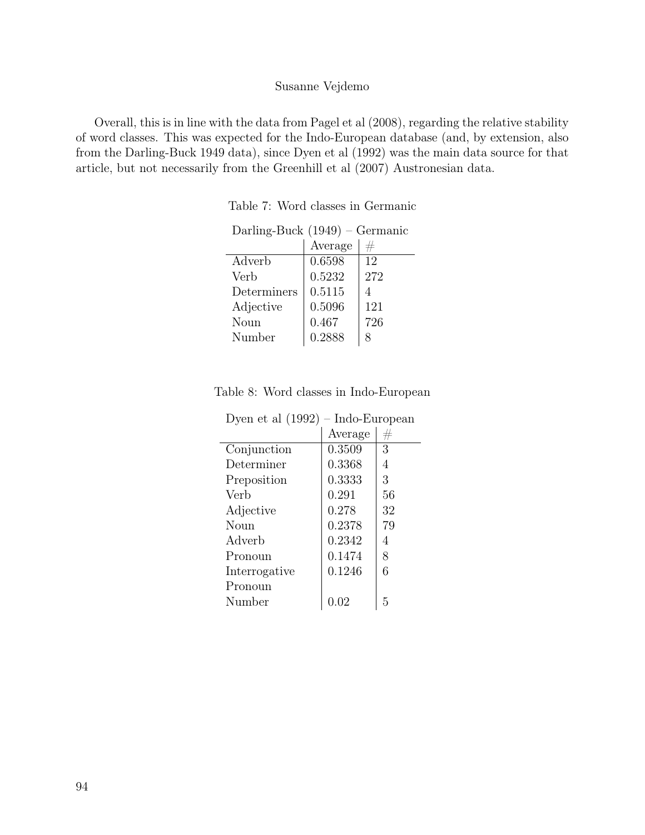Overall, this is in line with the data from Pagel et al (2008), regarding the relative stability of word classes. This was expected for the Indo-European database (and, by extension, also from the Darling-Buck 1949 data), since Dyen et al (1992) was the main data source for that article, but not necessarily from the Greenhill et al (2007) Austronesian data.

| Darling-Buck $(1949)$ – Germanic |     |  |  |  |  |
|----------------------------------|-----|--|--|--|--|
| Average                          | #   |  |  |  |  |
| 0.6598                           | 12  |  |  |  |  |
| 0.5232                           | 272 |  |  |  |  |
| 0.5115                           | 4   |  |  |  |  |
| 0.5096                           | 121 |  |  |  |  |
| 0.467                            | 726 |  |  |  |  |
| 0.2888                           | 8   |  |  |  |  |
|                                  |     |  |  |  |  |

Table 7: Word classes in Germanic

|  |  |  |  |  | Table 8: Word classes in Indo-European |
|--|--|--|--|--|----------------------------------------|
|--|--|--|--|--|----------------------------------------|

| Dyen et al $(1992)$ | - Indo-European |    |
|---------------------|-----------------|----|
|                     | Average         | #  |
| Conjunction         | 0.3509          | 3  |
| Determiner          | 0.3368          | 4  |
| Preposition         | 0.3333          | 3  |
| Verb                | 0.291           | 56 |
| Adjective           | 0.278           | 32 |
| Noun                | 0.2378          | 79 |
| Adverb              | 0.2342          | 4  |
| Pronoun             | 0.1474          | 8  |
| Interrogative       | 0.1246          | 6  |
| Pronoun             |                 |    |
| Number              | 0.02            | 5  |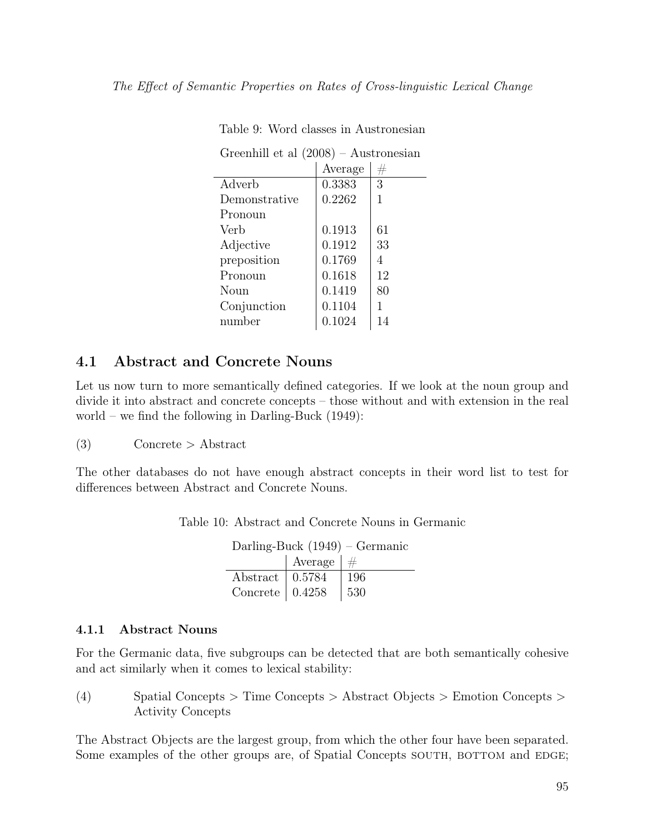|               | Average | $^{\#}$ |
|---------------|---------|---------|
| Adverb        | 0.3383  | 3       |
| Demonstrative | 0.2262  | 1       |
| Pronoun       |         |         |
| Verb          | 0.1913  | 61      |
| Adjective     | 0.1912  | 33      |
| preposition   | 0.1769  | 4       |
| Pronoun       | 0.1618  | 12      |
| Noun          | 0.1419  | 80      |
| Conjunction   | 0.1104  |         |
| number        | 0.1024  | 14      |

Table 9: Word classes in Austronesian

Greenhill et al (2008) – Austronesian

### 4.1 Abstract and Concrete Nouns

Let us now turn to more semantically defined categories. If we look at the noun group and divide it into abstract and concrete concepts – those without and with extension in the real world – we find the following in Darling-Buck  $(1949)$ :

(3) Concrete > Abstract

The other databases do not have enough abstract concepts in their word list to test for differences between Abstract and Concrete Nouns.

| Darling-Buck $(1949)$ – Germanic |                         |                |  |  |  |
|----------------------------------|-------------------------|----------------|--|--|--|
|                                  |                         | Average $  \#$ |  |  |  |
|                                  | Abstract   0.5784   196 |                |  |  |  |

Concrete  $\vert 0.4258 \vert 530$ 

Table 10: Abstract and Concrete Nouns in Germanic

### 4.1.1 Abstract Nouns

For the Germanic data, five subgroups can be detected that are both semantically cohesive and act similarly when it comes to lexical stability:

(4) Spatial Concepts > Time Concepts > Abstract Objects > Emotion Concepts > Activity Concepts

The Abstract Objects are the largest group, from which the other four have been separated. Some examples of the other groups are, of Spatial Concepts SOUTH, BOTTOM and EDGE;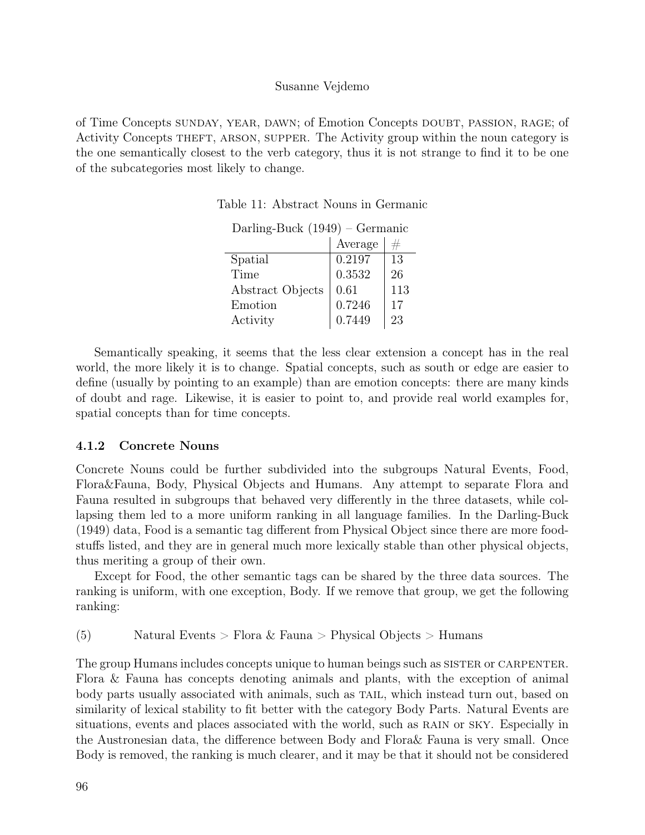of Time Concepts sunday, year, dawn; of Emotion Concepts doubt, passion, rage; of Activity Concepts theft, arson, supper. The Activity group within the noun category is the one semantically closest to the verb category, thus it is not strange to find it to be one of the subcategories most likely to change.

|                  | Average |     |
|------------------|---------|-----|
| Spatial          | 0.2197  | 13  |
| Time             | 0.3532  | 26  |
| Abstract Objects | 0.61    | 113 |
| Emotion          | 0.7246  | 17  |
| Activity         | 0.7449  | 23  |

Darling-Buck (1949) – Germanic

Semantically speaking, it seems that the less clear extension a concept has in the real world, the more likely it is to change. Spatial concepts, such as south or edge are easier to define (usually by pointing to an example) than are emotion concepts: there are many kinds of doubt and rage. Likewise, it is easier to point to, and provide real world examples for, spatial concepts than for time concepts.

### 4.1.2 Concrete Nouns

Concrete Nouns could be further subdivided into the subgroups Natural Events, Food, Flora&Fauna, Body, Physical Objects and Humans. Any attempt to separate Flora and Fauna resulted in subgroups that behaved very differently in the three datasets, while collapsing them led to a more uniform ranking in all language families. In the Darling-Buck (1949) data, Food is a semantic tag different from Physical Object since there are more foodstuffs listed, and they are in general much more lexically stable than other physical objects, thus meriting a group of their own.

Except for Food, the other semantic tags can be shared by the three data sources. The ranking is uniform, with one exception, Body. If we remove that group, we get the following ranking:

(5) Natural Events > Flora & Fauna > Physical Objects > Humans

The group Humans includes concepts unique to human beings such as SISTER or CARPENTER. Flora & Fauna has concepts denoting animals and plants, with the exception of animal body parts usually associated with animals, such as TAIL, which instead turn out, based on similarity of lexical stability to fit better with the category Body Parts. Natural Events are situations, events and places associated with the world, such as RAIN or SKY. Especially in the Austronesian data, the difference between Body and Flora& Fauna is very small. Once Body is removed, the ranking is much clearer, and it may be that it should not be considered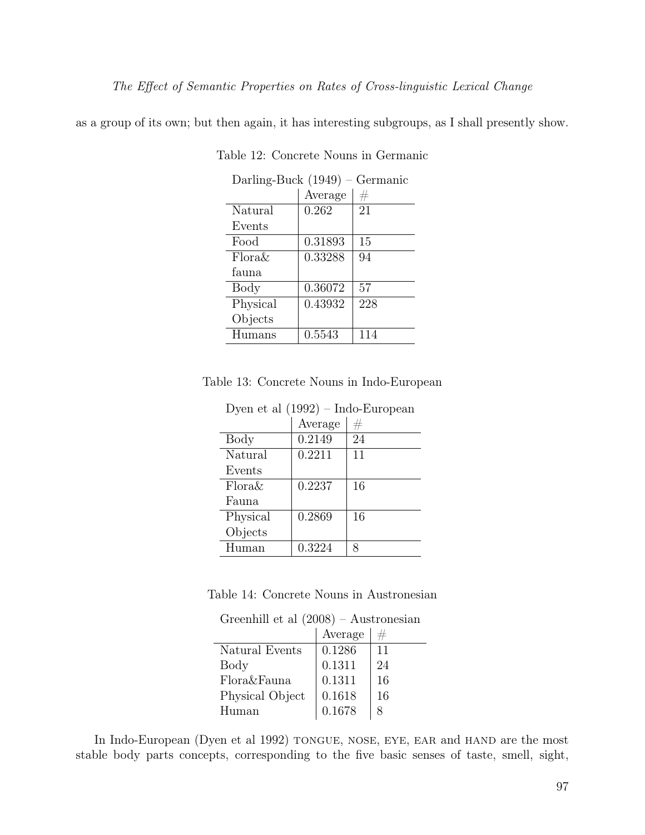as a group of its own; but then again, it has interesting subgroups, as I shall presently show.

| Darling-Buck (1949)<br>Germanic |         |     |  |
|---------------------------------|---------|-----|--|
|                                 | Average | #   |  |
| Natural                         | 0.262   | 21  |  |
| Events                          |         |     |  |
| Food                            | 0.31893 | 15  |  |
| $Flora\&$                       | 0.33288 | 94  |  |
| fauna.                          |         |     |  |
| Body                            | 0.36072 | 57  |  |
| Physical                        | 0.43932 | 228 |  |
| Objects                         |         |     |  |
| Humans                          | 0.5543  | 114 |  |
|                                 |         |     |  |

Table 12: Concrete Nouns in Germanic

|  | Table 13: Concrete Nouns in Indo-European |  |  |  |  |
|--|-------------------------------------------|--|--|--|--|
|--|-------------------------------------------|--|--|--|--|

| $D$ year of an $1552$ map $D$ and $D$ |         |    |  |  |
|---------------------------------------|---------|----|--|--|
|                                       | Average | #  |  |  |
| Body                                  | 0.2149  | 24 |  |  |
| Natural                               | 0.2211  | 11 |  |  |
| Events                                |         |    |  |  |
| Flora&                                | 0.2237  | 16 |  |  |
| Fauna                                 |         |    |  |  |
| Physical                              | 0.2869  | 16 |  |  |
| Objects                               |         |    |  |  |
| Human                                 | 0.3224  | 8  |  |  |
|                                       |         |    |  |  |

Dyen et al (1992) – Indo-European

Table 14: Concrete Nouns in Austronesian

Greenhill et al (2008) – Austronesian

|                 | Average |    |
|-----------------|---------|----|
| Natural Events  | 0.1286  | 11 |
| Body            | 0.1311  | 24 |
| Flora&Fauna     | 0.1311  | 16 |
| Physical Object | 0.1618  | 16 |
| Human           | 0.1678  |    |

In Indo-European (Dyen et al 1992) TONGUE, NOSE, EYE, EAR and HAND are the most stable body parts concepts, corresponding to the five basic senses of taste, smell, sight,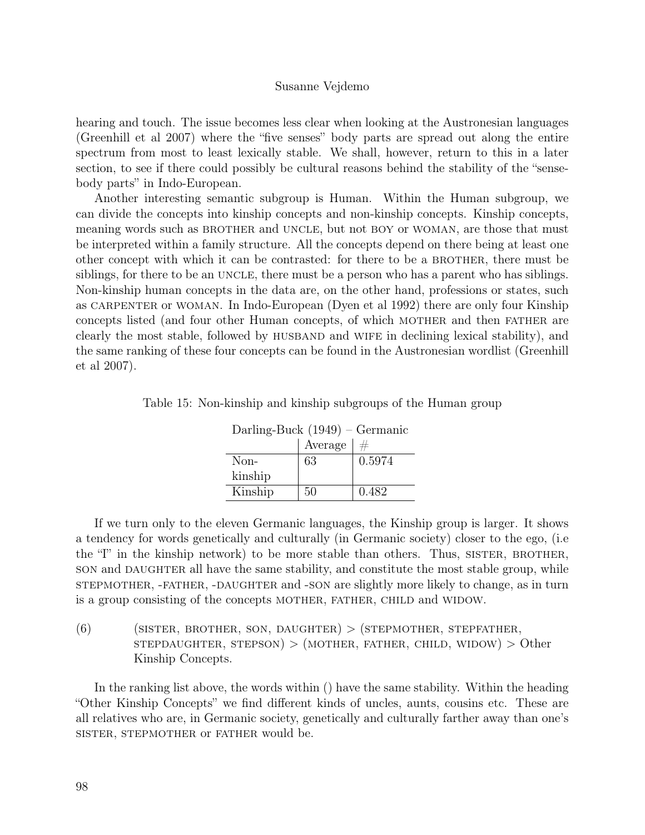hearing and touch. The issue becomes less clear when looking at the Austronesian languages (Greenhill et al 2007) where the "five senses" body parts are spread out along the entire spectrum from most to least lexically stable. We shall, however, return to this in a later section, to see if there could possibly be cultural reasons behind the stability of the "sensebody parts" in Indo-European.

Another interesting semantic subgroup is Human. Within the Human subgroup, we can divide the concepts into kinship concepts and non-kinship concepts. Kinship concepts, meaning words such as BROTHER and UNCLE, but not BOY or WOMAN, are those that must be interpreted within a family structure. All the concepts depend on there being at least one other concept with which it can be contrasted: for there to be a BROTHER, there must be siblings, for there to be an UNCLE, there must be a person who has a parent who has siblings. Non-kinship human concepts in the data are, on the other hand, professions or states, such as CARPENTER or WOMAN. In Indo-European (Dyen et al 1992) there are only four Kinship concepts listed (and four other Human concepts, of which MOTHER and then FATHER are clearly the most stable, followed by husband and wife in declining lexical stability), and the same ranking of these four concepts can be found in the Austronesian wordlist (Greenhill et al 2007).

| Darling-Buck $(1949)$ – Germanic |         |        |  |  |
|----------------------------------|---------|--------|--|--|
|                                  | Average | #      |  |  |
| Non-                             | 63      | 0.5974 |  |  |
| kinship                          |         |        |  |  |
| Kinship                          | 50      | 0.482  |  |  |

Table 15: Non-kinship and kinship subgroups of the Human group

If we turn only to the eleven Germanic languages, the Kinship group is larger. It shows a tendency for words genetically and culturally (in Germanic society) closer to the ego, (i.e the  $T'$  in the kinship network) to be more stable than others. Thus, SISTER, BROTHER, son and DAUGHTER all have the same stability, and constitute the most stable group, while stepmother, -father, -daughter and -son are slightly more likely to change, as in turn is a group consisting of the concepts MOTHER, FATHER, CHILD and WIDOW.

 $(6)$  (SISTER, BROTHER, SON, DAUGHTER) > (STEPMOTHER, STEPFATHER,  $s$ TEPDAUGHTER,  $s$ TEPSON) > (MOTHER, FATHER, CHILD, WIDOW) > Other Kinship Concepts.

In the ranking list above, the words within () have the same stability. Within the heading "Other Kinship Concepts" we find different kinds of uncles, aunts, cousins etc. These are all relatives who are, in Germanic society, genetically and culturally farther away than one's sister, stepmother or father would be.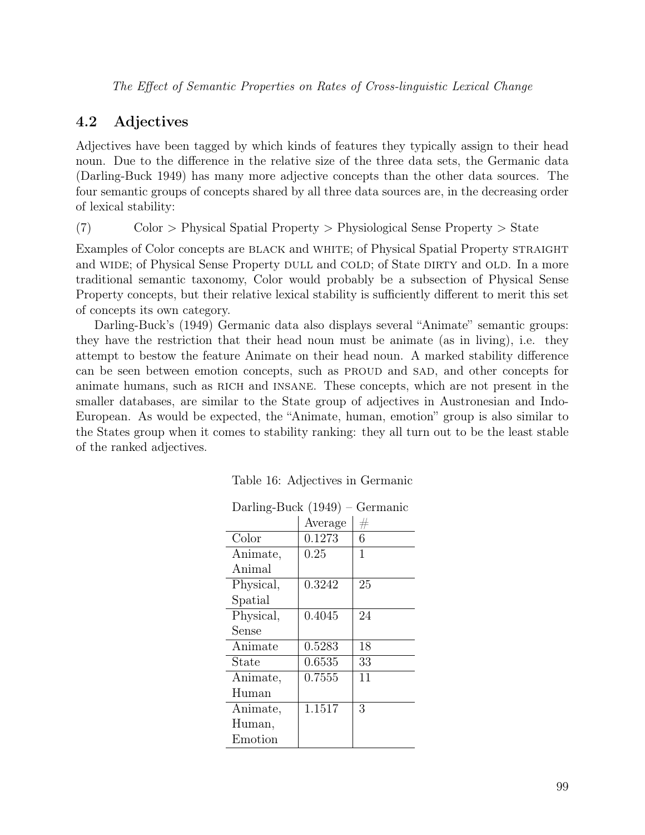### 4.2 Adjectives

Adjectives have been tagged by which kinds of features they typically assign to their head noun. Due to the difference in the relative size of the three data sets, the Germanic data (Darling-Buck 1949) has many more adjective concepts than the other data sources. The four semantic groups of concepts shared by all three data sources are, in the decreasing order of lexical stability:

(7) Color > Physical Spatial Property > Physiological Sense Property > State

Examples of Color concepts are BLACK and WHITE; of Physical Spatial Property STRAIGHT and WIDE; of Physical Sense Property DULL and COLD; of State DIRTY and OLD. In a more traditional semantic taxonomy, Color would probably be a subsection of Physical Sense Property concepts, but their relative lexical stability is sufficiently different to merit this set of concepts its own category.

Darling-Buck's (1949) Germanic data also displays several "Animate" semantic groups: they have the restriction that their head noun must be animate (as in living), i.e. they attempt to bestow the feature Animate on their head noun. A marked stability difference can be seen between emotion concepts, such as PROUD and SAD, and other concepts for animate humans, such as RICH and INSANE. These concepts, which are not present in the smaller databases, are similar to the State group of adjectives in Austronesian and Indo-European. As would be expected, the "Animate, human, emotion" group is also similar to the States group when it comes to stability ranking: they all turn out to be the least stable of the ranked adjectives.

| Darling-Buck (1949)<br>Germanic |         |         |  |  |
|---------------------------------|---------|---------|--|--|
|                                 | Average | $^{\#}$ |  |  |
| Color                           | 0.1273  | 6       |  |  |
| Animate,                        | 0.25    | 1       |  |  |
| Animal                          |         |         |  |  |
| Physical,                       | 0.3242  | 25      |  |  |
| Spatial                         |         |         |  |  |
| Physical,                       | 0.4045  | 24      |  |  |
| Sense                           |         |         |  |  |
| Animate                         | 0.5283  | 18      |  |  |
| State                           | 0.6535  | 33      |  |  |
| Animate,                        | 0.7555  | 11      |  |  |
| Human                           |         |         |  |  |
| Animate,                        | 1.1517  | 3       |  |  |
| Human,                          |         |         |  |  |
| Emotion                         |         |         |  |  |

|  | Table 16: Adjectives in Germanic |  |  |
|--|----------------------------------|--|--|
|--|----------------------------------|--|--|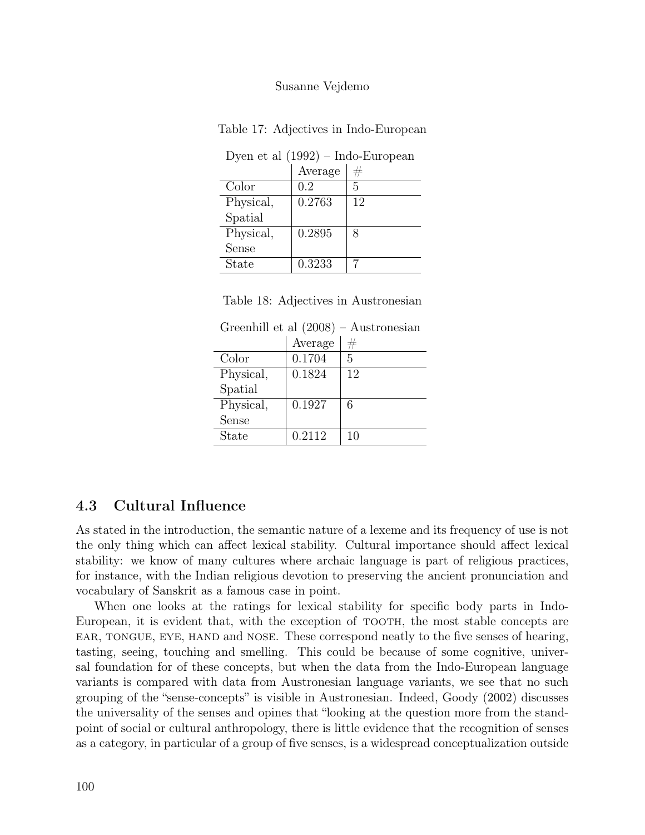| Dyen et al $(1992)$ – Indo-European |         |    |  |
|-------------------------------------|---------|----|--|
|                                     | Average | #  |  |
| Color                               | 0.2     | 5  |  |
| Physical,                           | 0.2763  | 12 |  |
| Spatial                             |         |    |  |
| Physical,                           | 0.2895  | 8  |  |
| Sense                               |         |    |  |
| State                               | 0.3233  |    |  |
|                                     |         |    |  |

Table 17: Adjectives in Indo-European

Table 18: Adjectives in Austronesian

Greenhill et al (2008) – Austronesian

|              | Average | $^{\#}$ |
|--------------|---------|---------|
| Color        | 0.1704  | 5       |
| Physical,    | 0.1824  | 12      |
| Spatial      |         |         |
| Physical,    | 0.1927  | 6       |
| Sense        |         |         |
| <b>State</b> | 0.2112  | 10      |

### 4.3 Cultural Influence

As stated in the introduction, the semantic nature of a lexeme and its frequency of use is not the only thing which can affect lexical stability. Cultural importance should affect lexical stability: we know of many cultures where archaic language is part of religious practices, for instance, with the Indian religious devotion to preserving the ancient pronunciation and vocabulary of Sanskrit as a famous case in point.

When one looks at the ratings for lexical stability for specific body parts in Indo-European, it is evident that, with the exception of TOOTH, the most stable concepts are ear, tongue, eye, hand and nose. These correspond neatly to the five senses of hearing, tasting, seeing, touching and smelling. This could be because of some cognitive, universal foundation for of these concepts, but when the data from the Indo-European language variants is compared with data from Austronesian language variants, we see that no such grouping of the "sense-concepts" is visible in Austronesian. Indeed, Goody (2002) discusses the universality of the senses and opines that "looking at the question more from the standpoint of social or cultural anthropology, there is little evidence that the recognition of senses as a category, in particular of a group of five senses, is a widespread conceptualization outside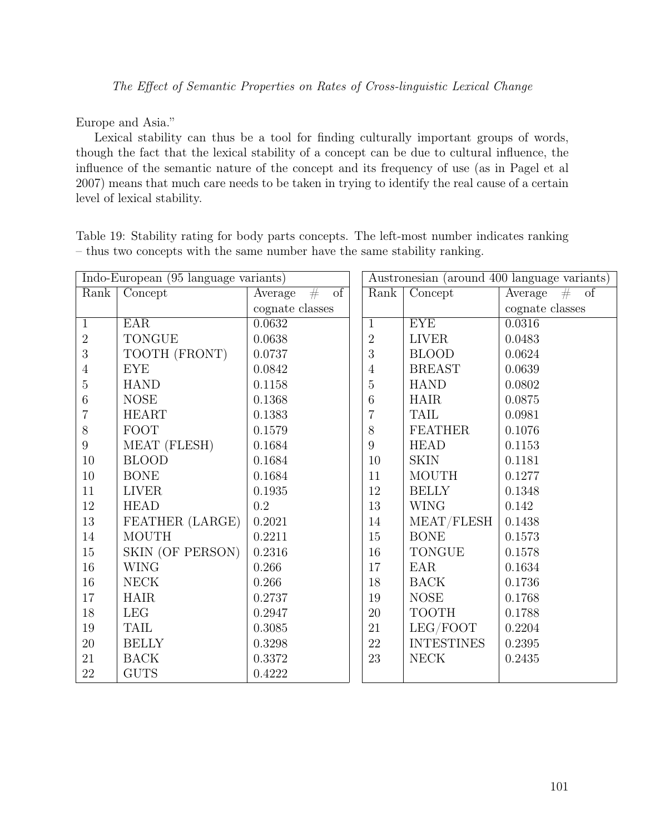Europe and Asia."

Lexical stability can thus be a tool for finding culturally important groups of words, though the fact that the lexical stability of a concept can be due to cultural influence, the influence of the semantic nature of the concept and its frequency of use (as in Pagel et al 2007) means that much care needs to be taken in trying to identify the real cause of a certain level of lexical stability.

Table 19: Stability rating for body parts concepts. The left-most number indicates ranking – thus two concepts with the same number have the same stability ranking.

|                  | Indo-European (95 language variants) | Austronesian (around 400 language variants) |                |                   |                    |
|------------------|--------------------------------------|---------------------------------------------|----------------|-------------------|--------------------|
| Rank             | Concept                              | of<br>Average<br>#                          | Rank           | Concept           | Average<br>#<br>of |
|                  |                                      | cognate classes                             |                |                   | cognate classes    |
| $\mathbf{1}$     | <b>EAR</b>                           | 0.0632                                      | $\mathbf{1}$   | <b>EYE</b>        | 0.0316             |
| $\overline{2}$   | <b>TONGUE</b>                        | 0.0638                                      | $\overline{2}$ | <b>LIVER</b>      | 0.0483             |
| 3                | TOOTH (FRONT)                        | 0.0737                                      | 3              | <b>BLOOD</b>      | 0.0624             |
| $\overline{4}$   | <b>EYE</b>                           | 0.0842                                      | $\overline{4}$ | <b>BREAST</b>     | 0.0639             |
| $\overline{5}$   | <b>HAND</b>                          | 0.1158                                      | $\mathbf 5$    | <b>HAND</b>       | 0.0802             |
| $\,6$            | <b>NOSE</b>                          | 0.1368                                      | 6              | <b>HAIR</b>       | 0.0875             |
| $\overline{7}$   | <b>HEART</b>                         | 0.1383                                      | 7              | <b>TAIL</b>       | 0.0981             |
| 8                | <b>FOOT</b>                          | 0.1579                                      | 8              | <b>FEATHER</b>    | 0.1076             |
| $\boldsymbol{9}$ | MEAT (FLESH)                         | 0.1684                                      | 9              | <b>HEAD</b>       | 0.1153             |
| 10               | <b>BLOOD</b>                         | 0.1684                                      | 10             | <b>SKIN</b>       | 0.1181             |
| $10\,$           | <b>BONE</b>                          | 0.1684                                      | 11             | <b>MOUTH</b>      | 0.1277             |
| 11               | <b>LIVER</b>                         | 0.1935                                      | 12             | <b>BELLY</b>      | 0.1348             |
| $12\,$           | <b>HEAD</b>                          | $0.2\,$                                     | 13             | <b>WING</b>       | 0.142              |
| 13               | FEATHER (LARGE)                      | 0.2021                                      | 14             | MEAT/FLESH        | 0.1438             |
| 14               | <b>MOUTH</b>                         | 0.2211                                      | 15             | <b>BONE</b>       | 0.1573             |
| 15               | SKIN (OF PERSON)                     | 0.2316                                      | 16             | <b>TONGUE</b>     | 0.1578             |
| $16\,$           | <b>WING</b>                          | 0.266                                       | 17             | EAR               | 0.1634             |
| 16               | <b>NECK</b>                          | 0.266                                       | 18             | <b>BACK</b>       | 0.1736             |
| 17               | <b>HAIR</b>                          | 0.2737                                      | 19             | <b>NOSE</b>       | 0.1768             |
| 18               | LEG                                  | 0.2947                                      | 20             | <b>TOOTH</b>      | 0.1788             |
| 19               | <b>TAIL</b>                          | 0.3085                                      | 21             | LEG/FOOT          | 0.2204             |
| $20\,$           | <b>BELLY</b>                         | 0.3298                                      | $22\,$         | <b>INTESTINES</b> | 0.2395             |
| 21               | <b>BACK</b>                          | 0.3372                                      | 23             | <b>NECK</b>       | 0.2435             |
| $22\,$           | <b>GUTS</b>                          | 0.4222                                      |                |                   |                    |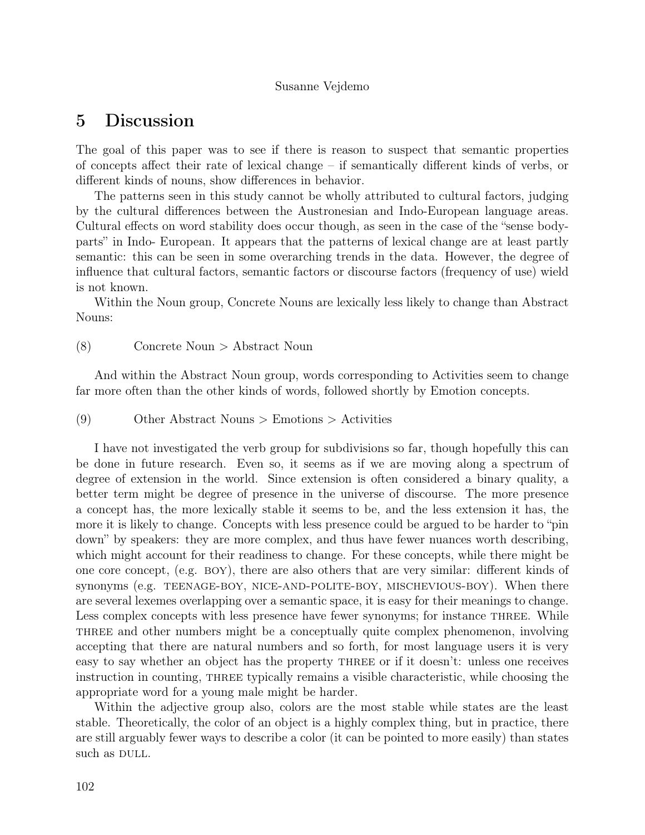# 5 Discussion

The goal of this paper was to see if there is reason to suspect that semantic properties of concepts affect their rate of lexical change – if semantically different kinds of verbs, or different kinds of nouns, show differences in behavior.

The patterns seen in this study cannot be wholly attributed to cultural factors, judging by the cultural differences between the Austronesian and Indo-European language areas. Cultural effects on word stability does occur though, as seen in the case of the "sense bodyparts" in Indo- European. It appears that the patterns of lexical change are at least partly semantic: this can be seen in some overarching trends in the data. However, the degree of influence that cultural factors, semantic factors or discourse factors (frequency of use) wield is not known.

Within the Noun group, Concrete Nouns are lexically less likely to change than Abstract Nouns:

#### (8) Concrete Noun > Abstract Noun

And within the Abstract Noun group, words corresponding to Activities seem to change far more often than the other kinds of words, followed shortly by Emotion concepts.

(9) Other Abstract Nouns > Emotions > Activities

I have not investigated the verb group for subdivisions so far, though hopefully this can be done in future research. Even so, it seems as if we are moving along a spectrum of degree of extension in the world. Since extension is often considered a binary quality, a better term might be degree of presence in the universe of discourse. The more presence a concept has, the more lexically stable it seems to be, and the less extension it has, the more it is likely to change. Concepts with less presence could be argued to be harder to "pin down" by speakers: they are more complex, and thus have fewer nuances worth describing, which might account for their readiness to change. For these concepts, while there might be one core concept, (e.g. boy), there are also others that are very similar: different kinds of synonyms (e.g. TEENAGE-BOY, NICE-AND-POLITE-BOY, MISCHEVIOUS-BOY). When there are several lexemes overlapping over a semantic space, it is easy for their meanings to change. Less complex concepts with less presence have fewer synonyms; for instance THREE. While three and other numbers might be a conceptually quite complex phenomenon, involving accepting that there are natural numbers and so forth, for most language users it is very easy to say whether an object has the property three or if it doesn't: unless one receives instruction in counting, three typically remains a visible characteristic, while choosing the appropriate word for a young male might be harder.

Within the adjective group also, colors are the most stable while states are the least stable. Theoretically, the color of an object is a highly complex thing, but in practice, there are still arguably fewer ways to describe a color (it can be pointed to more easily) than states such as DULL.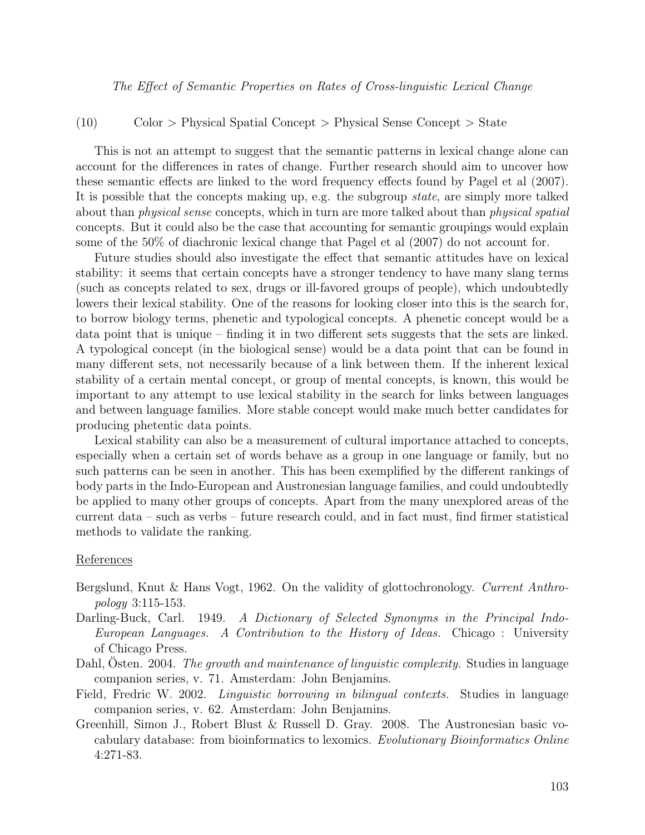(10) Color > Physical Spatial Concept > Physical Sense Concept > State

This is not an attempt to suggest that the semantic patterns in lexical change alone can account for the differences in rates of change. Further research should aim to uncover how these semantic effects are linked to the word frequency effects found by Pagel et al (2007). It is possible that the concepts making up, e.g. the subgroup state, are simply more talked about than *physical sense* concepts, which in turn are more talked about than *physical spatial* concepts. But it could also be the case that accounting for semantic groupings would explain some of the 50% of diachronic lexical change that Pagel et al (2007) do not account for.

Future studies should also investigate the effect that semantic attitudes have on lexical stability: it seems that certain concepts have a stronger tendency to have many slang terms (such as concepts related to sex, drugs or ill-favored groups of people), which undoubtedly lowers their lexical stability. One of the reasons for looking closer into this is the search for, to borrow biology terms, phenetic and typological concepts. A phenetic concept would be a data point that is unique – finding it in two different sets suggests that the sets are linked. A typological concept (in the biological sense) would be a data point that can be found in many different sets, not necessarily because of a link between them. If the inherent lexical stability of a certain mental concept, or group of mental concepts, is known, this would be important to any attempt to use lexical stability in the search for links between languages and between language families. More stable concept would make much better candidates for producing phetentic data points.

Lexical stability can also be a measurement of cultural importance attached to concepts, especially when a certain set of words behave as a group in one language or family, but no such patterns can be seen in another. This has been exemplified by the different rankings of body parts in the Indo-European and Austronesian language families, and could undoubtedly be applied to many other groups of concepts. Apart from the many unexplored areas of the current data – such as verbs – future research could, and in fact must, find firmer statistical methods to validate the ranking.

#### References

- Bergslund, Knut & Hans Vogt, 1962. On the validity of glottochronology. Current Anthropology 3:115-153.
- Darling-Buck, Carl. 1949. A Dictionary of Selected Synonyms in the Principal Indo-European Languages. A Contribution to the History of Ideas. Chicago : University of Chicago Press.
- Dahl, Östen. 2004. The growth and maintenance of linguistic complexity. Studies in language companion series, v. 71. Amsterdam: John Benjamins.
- Field, Fredric W. 2002. *Linguistic borrowing in bilingual contexts*. Studies in language companion series, v. 62. Amsterdam: John Benjamins.
- Greenhill, Simon J., Robert Blust & Russell D. Gray. 2008. The Austronesian basic vocabulary database: from bioinformatics to lexomics. Evolutionary Bioinformatics Online 4:271-83.